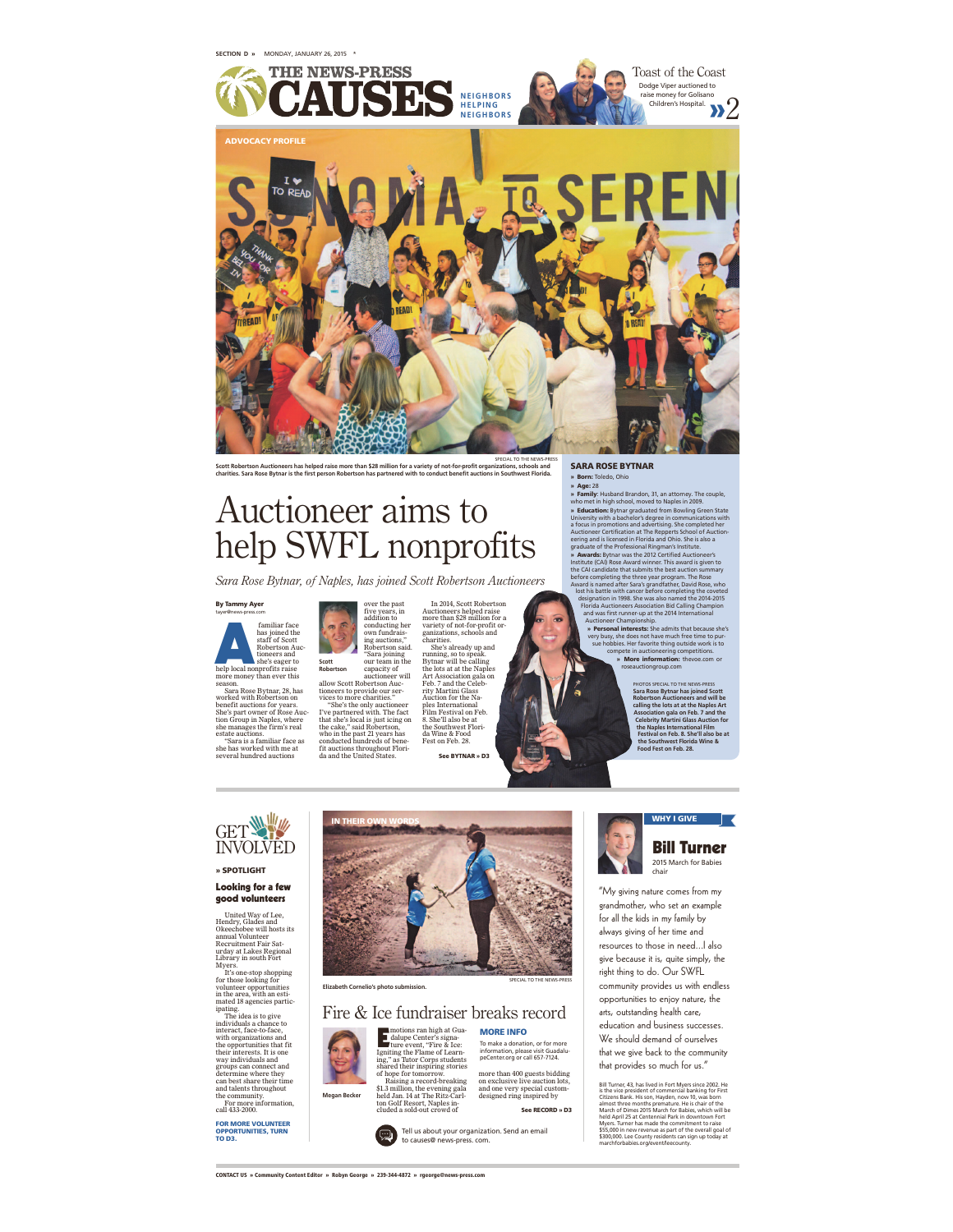

SFECIAL TO THE NEWS-PRESS<br>Scott Robertson Auctioneers has helped raise more than \$28 million for a variety of not-for-profit organizations, schools and<br>charities. Sara Rose Bytnar is the first person Robertson has partnere

# Auctioneer aims to help SWFL nonprofits

*Sara Rose Bytnar, of Naples, has joined Scott Robertson Auctioneers*

### By Tammy Ayer tayer@news-press.com



**Example 18 Analytical School Analytical School Analytical School Analytical School Analytical School Analytical School Analytical School Analytical School Analytical School Analytical School Analytical School Analytical S** 

"Sara is a familiar face as she has worked with me at several hundred auctions



IN THEIR OWN WORDS

In 2014, Scott Robertson Auctioneers helped raise more than \$28 million for a variety of not-for-profit or-ganizations, schools and charities. She's already up and running, so to speak.<br>Bytnar will be calling<br>the lots at at the Naples<br>Art Association gala on<br>Teb. 7 and the Celeb-<br>Hirty Martini Glass<br>Auction for the Naples<br>Interactional<br>Film Festival on Feb.<br>As Shell also be at<br>the So

See BYTNAR » D3

### SARA ROSE BYTNAR

**Born:** Toledo, Ohio<br>**Age:** 28

**» Age:** 28<br> **Paramiy**: Husband Brandon, 31, an attorney. The couple, who meet in high school, moved to Maples in 2009.<br> **Education:** By that parameters in communication with the parameters of the membersities of the fluct

Auctioneer Championship<br>
a Personal Interests: She admits that because she's<br>
very busy, she does not have much free time to pur-<br>
sue hobbies. Her favorite thing outside work is to<br>
compete in auctioneering competitions.<br>

PHOTOS SPECIAL TO THE NEWS-PRESS<br>Sara Rose Bytnar has joined Scott<br>Robertson Auctioneers and will be<br>acalling the lots at at the Naples Art<br>Association gala on Feb. 7 and the<br>Celebrity Martini Glass Auction for<br>the Naples

## GET INVOLVED

### » SPOTLIGHT

Looking for a few good volunteers

United Way of Lee, Hendry, Glades and Okeechobee will hosts its annual Volunteer Recruitment Fair Sat-urday at Lakes Regional

Library in south Fort Myers. It's one-stop shopping for those looking for volunteer opportunities in the area, with an esti-<br>mated 18 agencies partic

mated 18 agencies partic-<br>mated 18 agencies partic-<br>"The idea is to give<br>individuals a chance to<br>interact, face-to-face,<br>with organizations and<br>their interact, face-<br>to-face their interactions are groups can connect and<br>ca

For more information, call 433-2000. FOR MORE VOLUNTEER OPPORTUNITIES, TURN TO D3.



SPECIAL TO THE NEWS-PRESS **Elizabeth Cornelio's photo submission.** Fire & Ice fundraiser breaks record



MORE INFO To make a donation, or for more information, please visit Guadalu-peCenter.org or call 657-7124.

ton Golf Resort, Naples in-cluded a sold-out crowd of more than 400 guests bidding on exclusive live auction lots, and one very special custom-designed ring inspired by

See RECORD » D3



WHY I GIVE Bill Turner 2015 March for Babies chair

"My giving nature comes from my grandmother, who set an example for all the kids in my family by always giving of her time and resources to those in need...I also give because it is, quite simply, the right thing to do. Our SWFL community provides us with endless opportunities to enjoy nature, the arts, outstanding health care, education and business successes. We should demand of ourselves that we give back to the community that provides so much for us."

Bill Turner, 43, has lived in Fort Myers since 2002. He<br>dist be vice president of commercial banking for First<br>Citizens Bank. His son, Hayden, now 10, was born<br>allmost three months premature. He is chair of the<br>March of Di

CONTACT US » Community Content Editor » Robyn George » 239-344-4872 » rgeorge@news-press.com